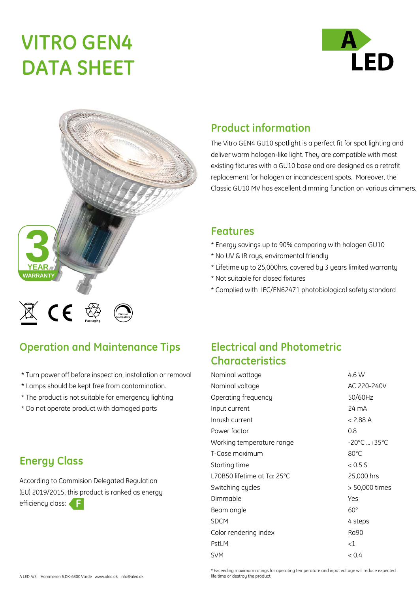# **VITRO GEN4 DATA SHEET**





#### **Product information**

The Vitro GEN4 GU10 spotlight is a perfect fit for spot lighting and deliver warm halogen-like light. They are compatible with most existing fixtures with a GU10 base and are designed as a retrofit replacement for halogen or incandescent spots. Moreover, the Classic GU10 MV has excellent dimming function on various dimmers.

#### **Features**

- \* Energy savings up to 90% comparing with halogen GU10
- \* No UV & IR rays, enviromental friendly
- \* Lifetime up to 25,000hrs, covered by 3 years limited warranty
- \* Not suitable for closed fixtures
- \* Complied with IEC/EN62471 photobiological safety standard

## **Operation and Maintenance Tips**

- \* Turn power off before inspection, installation or removal
- \* Lamps should be kept free from contamination.
- \* The product is not suitable for emergency lighting
- \* Do not operate product with damaged parts

### **Energy Class**

According to Commision Delegated Regulation (EU) 2019/2015, this product is ranked as energy efficiency class: **F**

## **Electrical and Photometric Characteristics**

| Nominal wattage             | 4.6 W          |
|-----------------------------|----------------|
| Nominal voltage             | AC 220-240V    |
| Operating frequency         | 50/60Hz        |
| Input current               | 24 mA          |
| Inrush current              | < 2.88 A       |
| Power factor                | 0.8            |
| Working temperature range   | -20°C +35°C    |
| T-Case maximum              | 80°C           |
| Starting time               | < 0.5 S        |
| L70B50 lifetime at Ta: 25°C | 25,000 hrs     |
| Switching cycles            | > 50,000 times |
| Dimmable                    | Yes            |
| Beam angle                  | $60^\circ$     |
| <b>SDCM</b>                 | 4 steps        |
| Color rendering index       | Ra90           |
| PstLM                       | ${<}1$         |
| <b>SVM</b>                  | < 0.4          |

\* Exceeding maximum ratings for operating temperature and input voltage will reduce expected life time or destrou the product.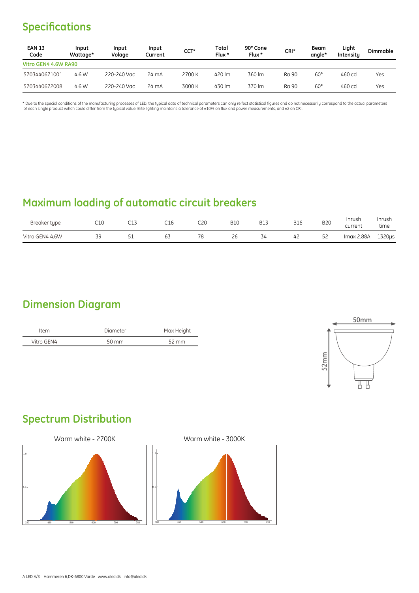## **Specifications**

| <b>EAN 13</b><br>Code | Input<br>Wattage* | Input<br>Volage | Input<br>Current | CCT*   | Total<br>Flux * | 90° Cone<br>Flux * | CRI*  | <b>Beam</b><br>angle* | Light<br>Intensity | <b>Dimmable</b> |
|-----------------------|-------------------|-----------------|------------------|--------|-----------------|--------------------|-------|-----------------------|--------------------|-----------------|
| Vitro GEN4 4.6W RA90  |                   |                 |                  |        |                 |                    |       |                       |                    |                 |
| 5703440671001         | 4.6 W             | 220-240 Vac     | 24 mA            | 2700 K | 420 lm          | 360 lm             | Ra 90 | $60^{\circ}$          | 460 cd             | Yes             |
| 5703440672008         | 4.6 W             | 220-240 Vac     | 24 mA            | 3000 K | 430 lm          | 370 lm             | Ra 90 | $60^{\circ}$          | 460 cd             | Yes             |

\* Due to the special conditions of the manufacturing processes of LED, the typical data of technical parameters can only relfect statistical figures and do not necessarily correspond to the actual parameters<br>of each single

## **Maximum loading of automatic circuit breakers**

| Breaker type    | C10       | -- | C16          | C20 | <b>B10</b> | <b>B13</b> | <b>B16</b> | <b>B20</b> | Inrush<br>current | Inrush<br>time |
|-----------------|-----------|----|--------------|-----|------------|------------|------------|------------|-------------------|----------------|
| Vitro GEN4 4.6W | ٦Q<br>- - | ັ  | $\sim$<br>ັບ | 78  | 26         | 34         | 4c         | 52         | Imax 2.88A        | 1320us         |

#### **Dimension Diagram**

| Item       | Diameter        | Max Height        |
|------------|-----------------|-------------------|
| Vitro GEN4 | $50 \text{ mm}$ | $52 \, \text{mm}$ |



## **Spectrum Distribution**



Warm white - 3000K